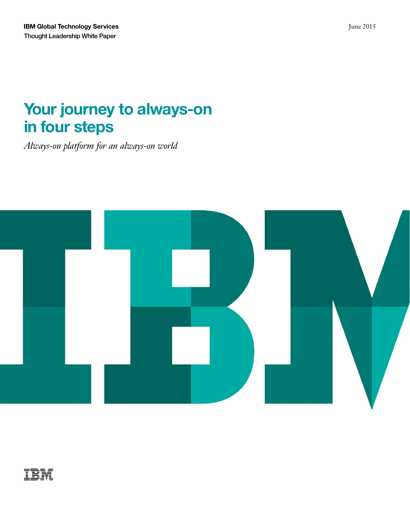# **Your journey to always-on in four steps**

*Always-on platfor m for an always-on world* 



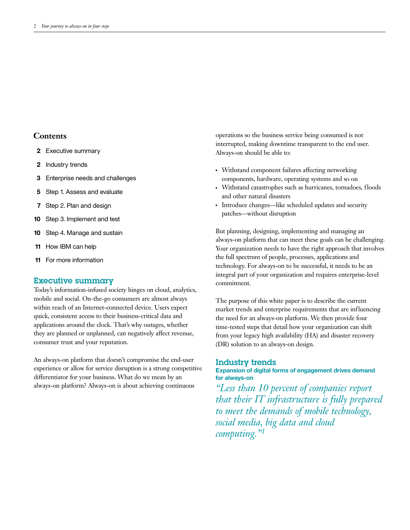# **Contents**

- **2** Executive summary
- **2** Industry trends
- **3** Enterprise needs and challenges
- **5** Step 1. Assess and evaluate
- **7** Step 2. Plan and design
- **10** Step 3. Implement and test
- **10** Step 4. Manage and sustain
- **11** How IBM can help
- **11** For more information

### Executive summary

Today's information-infused society hinges on cloud, analytics, mobile and social. On-the-go consumers are almost always within reach of an Internet-connected device. Users expect quick, consistent access to their business-critical data and applications around the clock. That's why outages, whether they are planned or unplanned, can negatively affect revenue, consumer trust and your reputation.

An always-on platform that doesn't compromise the end-user experience or allow for service disruption is a strong competitive differentiator for your business. What do we mean by an always-on platform? Always-on is about achieving continuous

operations so the business service being consumed is not interrupted, making downtime transparent to the end user. Always-on should be able to:

- Withstand component failures affecting networking components, hardware, operating systems and so on
- Withstand catastrophes such as hurricanes, tornadoes, floods and other natural disasters
- Introduce changes—like scheduled updates and security patches—without disruption

But planning, designing, implementing and managing an always-on platform that can meet these goals can be challenging. Your organization needs to have the right approach that involves the full spectrum of people, processes, applications and technology. For always-on to be successful, it needs to be an integral part of your organization and requires enterprise-level commitment.

The purpose of this white paper is to describe the current market trends and enterprise requirements that are influencing the need for an always-on platform. We then provide four time-tested steps that detail how your organization can shift from your legacy high availability (HA) and disaster recovery (DR) solution to an always-on design.

#### Industry trends

**Expansion of digital forms of engagement drives demand for always-on**

*"Less than 10 percent of companies report that their IT infrastructure is fully prepared to meet the demands of mobile technology, social media, big data and cloud computing."1*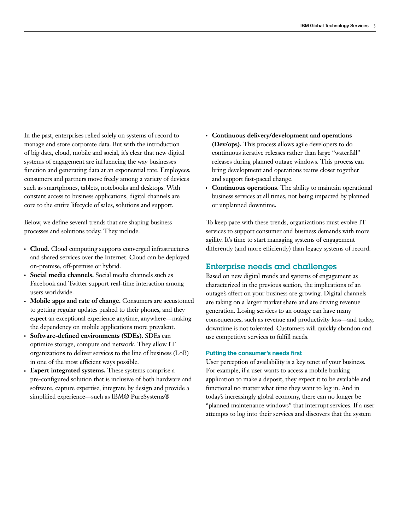In the past, enterprises relied solely on systems of record to manage and store corporate data. But with the introduction of big data, cloud, mobile and social, it's clear that new digital systems of engagement are influencing the way businesses function and generating data at an exponential rate. Employees, consumers and partners move freely among a variety of devices such as smartphones, tablets, notebooks and desktops. With constant access to business applications, digital channels are core to the entire lifecycle of sales, solutions and support.

Below, we define several trends that are shaping business processes and solutions today. They include:

- **Cloud.** Cloud computing supports converged infrastructures and shared services over the Internet. Cloud can be deployed on-premise, off-premise or hybrid.
- Social media channels. Social media channels such as Facebook and Twitter support real-time interaction among users worldwide.
- Mobile apps and rate of change. Consumers are accustomed to getting regular updates pushed to their phones, and they expect an exceptional experience anytime, anywhere—making the dependency on mobile applications more prevalent.
- **Software-defined environments (SDEs).** SDEs can optimize storage, compute and network. They allow IT organizations to deliver services to the line of business (LoB) in one of the most efficient ways possible.
- Expert integrated systems. These systems comprise a pre-configured solution that is inclusive of both hardware and software, capture expertise, integrate by design and provide a simplified experience—such as IBM® PureSystems®
- Continuous delivery/development and operations **(Dev/ops).** This process allows agile developers to do continuous iterative releases rather than large "waterfall" releases during planned outage windows. This process can bring development and operations teams closer together and support fast-paced change.
- **Continuous operations.** The ability to maintain operational business services at all times, not being impacted by planned or unplanned downtime.

To keep pace with these trends, organizations must evolve IT services to support consumer and business demands with more agility. It's time to start managing systems of engagement differently (and more efficiently) than legacy systems of record.

# Enterprise needs and challenges

Based on new digital trends and systems of engagement as characterized in the previous section, the implications of an outage's affect on your business are growing. Digital channels are taking on a larger market share and are driving revenue generation. Losing services to an outage can have many consequences, such as revenue and productivity loss—and today, downtime is not tolerated. Customers will quickly abandon and use competitive services to fulfill needs.

#### **Putting the consumer's needs first**

User perception of availability is a key tenet of your business. For example, if a user wants to access a mobile banking application to make a deposit, they expect it to be available and functional no matter what time they want to log in. And in today's increasingly global economy, there can no longer be "planned maintenance windows" that interrupt services. If a user attempts to log into their services and discovers that the system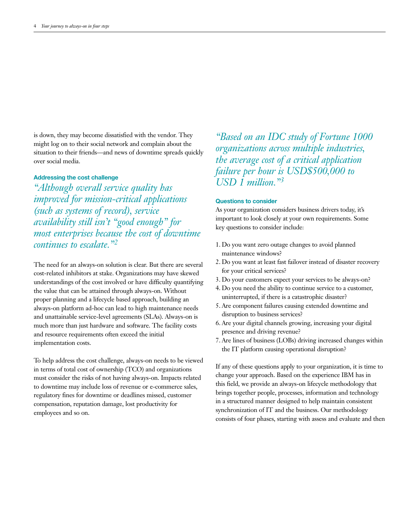is down, they may become dissatisfied with the vendor. They might log on to their social network and complain about the situation to their friends—and news of downtime spreads quickly over social media.

#### **Addressing the cost challenge**

*"Although overall service quality has improved for mission-critical applications (such as systems of record), service availability still isn't "good enough" for most enterprises because the cost of downtime continues to escalate."2*

The need for an always-on solution is clear. But there are several cost-related inhibitors at stake. Organizations may have skewed understandings of the cost involved or have difficulty quantifying the value that can be attained through always-on. Without proper planning and a lifecycle based approach, building an always-on platform ad-hoc can lead to high maintenance needs and unattainable service-level agreements (SLAs). Always-on is much more than just hardware and software. The facility costs and resource requirements often exceed the initial implementation costs.

To help address the cost challenge, always-on needs to be viewed in terms of total cost of ownership (TCO) and organizations must consider the risks of not having always-on. Impacts related to downtime may include loss of revenue or e-commerce sales, regulatory fines for downtime or deadlines missed, customer compensation, reputation damage, lost productivity for employees and so on.

*"Based on an IDC study of Fortune 1000 organizations across multiple industries, the average cost of a critical application failure per hour is USD\$500,000 to USD 1 million."3*

#### **Questions to consider**

As your organization considers business drivers today, it's important to look closely at your own requirements. Some key questions to consider include:

- 1. Do you want zero outage changes to avoid planned maintenance windows?
- 2. Do you want at least fast failover instead of disaster recovery for your critical services?
- 3. Do your customers expect your services to be always-on?
- 4. Do you need the ability to continue service to a customer, uninterrupted, if there is a catastrophic disaster?
- 5. Are component failures causing extended downtime and disruption to business services?
- 6. Are your digital channels growing, increasing your digital presence and driving revenue?
- 7. Are lines of business (LOBs) driving increased changes within the IT platform causing operational disruption?

If any of these questions apply to your organization, it is time to change your approach. Based on the experience IBM has in this field, we provide an always-on lifecycle methodology that brings together people, processes, information and technology in a structured manner designed to help maintain consistent synchronization of IT and the business. Our methodology consists of four phases, starting with assess and evaluate and then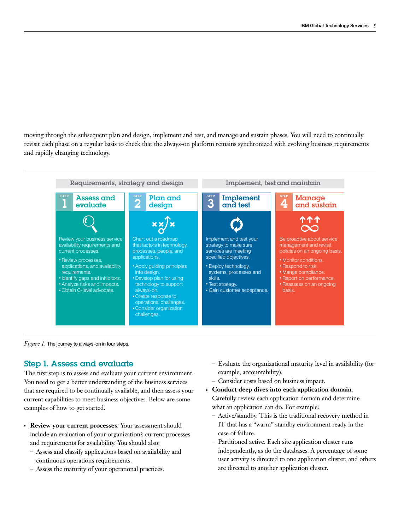moving through the subsequent plan and design, implement and test, and manage and sustain phases. You will need to continually revisit each phase on a regular basis to check that the always-on platform remains synchronized with evolving business requirements and rapidly changing technology.



*Figure 1.* The journey to always-on in four steps.

# Step 1. Assess and evaluate

The first step is to assess and evaluate your current environment. You need to get a better understanding of the business services that are required to be continually available, and then assess your current capabilities to meet business objectives. Below are some examples of how to get started.

- **Review your current processes**. Your assessment should include an evaluation of your organization's current processes and requirements for availability. You should also:
	- Assess and classify applications based on availability and continuous operations requirements.
	- Assess the maturity of your operational practices.
- Evaluate the organizational maturity level in availability (for example, accountability).
- Consider costs based on business impact.
- **Conduct deep dives into each application domain.** Carefully review each application domain and determine what an application can do. For example:
	- Active/standby. This is the traditional recovery method in IT that has a "warm" standby environment ready in the case of failure.
	- Partitioned active. Each site application cluster runs independently, as do the databases. A percentage of some user activity is directed to one application cluster, and others are directed to another application cluster.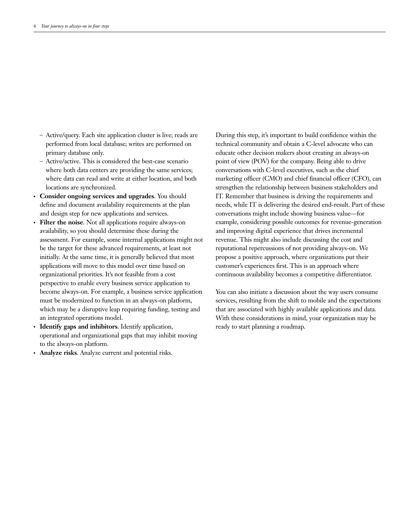- Active/query. Each site application cluster is live; reads are performed from local database; writes are performed on primary database only.
- Active/active. This is considered the best-case scenario where both data centers are providing the same services; where data can read and write at either location, and both locations are synchronized.
- ●● **Consider ongoing services and upgrades**. You should define and document availability requirements at the plan and design step for new applications and services.
- **Filter the noise**. Not all applications require always-on availability, so you should determine these during the assessment. For example, some internal applications might not be the target for these advanced requirements, at least not initially. At the same time, it is generally believed that most applications will move to this model over time based on organizational priorities. It's not feasible from a cost perspective to enable every business service application to become always-on. For example, a business service application must be modernized to function in an always-on platform, which may be a disruptive leap requiring funding, testing and an integrated operations model.
- ●● **Identify gaps and inhibitors**. Identify application, operational and organizational gaps that may inhibit moving to the always-on platform.
- Analyze risks. Analyze current and potential risks.

During this step, it's important to build confidence within the technical community and obtain a C-level advocate who can educate other decision makers about creating an always-on point of view (POV) for the company. Being able to drive conversations with C-level executives, such as the chief marketing officer (CMO) and chief financial officer (CFO), can strengthen the relationship between business stakeholders and IT. Remember that business is driving the requirements and needs, while IT is delivering the desired end-result. Part of these conversations might include showing business value—for example, considering possible outcomes for revenue-generation and improving digital experience that drives incremental revenue. This might also include discussing the cost and reputational repercussions of not providing always-on. We propose a positive approach, where organizations put their customer's experiences first. This is an approach where continuous availability becomes a competitive differentiator.

You can also initiate a discussion about the way users consume services, resulting from the shift to mobile and the expectations that are associated with highly available applications and data. With these considerations in mind, your organization may be ready to start planning a roadmap.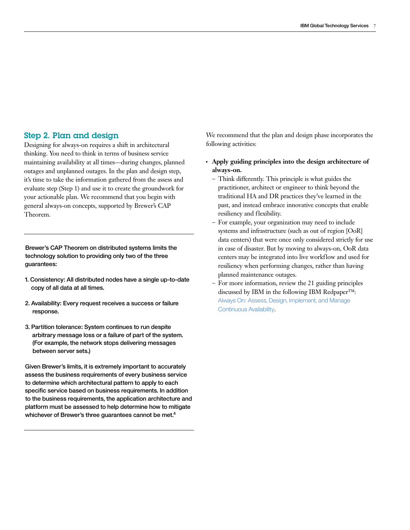# Step 2. Plan and design

Designing for always-on requires a shift in architectural thinking. You need to think in terms of business service maintaining availability at all times—during changes, planned outages and unplanned outages. In the plan and design step, it's time to take the information gathered from the assess and evaluate step (Step 1) and use it to create the groundwork for your actionable plan. We recommend that you begin with general always-on concepts, supported by Brewer's CAP Theorem.

Brewer's CAP Theorem on distributed systems limits the technology solution to providing only two of the three guarantees:

- 1. Consistency: All distributed nodes have a single up-to-date copy of all data at all times.
- 2. Availability: Every request receives a success or failure response.
- 3. Partition tolerance: System continues to run despite arbitrary message loss or a failure of part of the system. (For example, the network stops delivering messages between server sets.)

Given Brewer's limits, it is extremely important to accurately assess the business requirements of every business service to determine which architectural pattern to apply to each specific service based on business requirements. In addition to the business requirements, the application architecture and platform must be assessed to help determine how to mitigate whichever of Brewer's three guarantees cannot be met.<sup>4</sup>

We recommend that the plan and design phase incorporates the following activities:

- Apply guiding principles into the design architecture of **always-on.**
	- Think differently. This principle is what guides the practitioner, architect or engineer to think beyond the traditional HA and DR practices they've learned in the past, and instead embrace innovative concepts that enable resiliency and flexibility.
	- For example, your organization may need to include systems and infrastructure (such as out of region [OoR] data centers) that were once only considered strictly for use in case of disaster. But by moving to always-on, OoR data centers may be integrated into live workflow and used for resiliency when performing changes, rather than having planned maintenance outages.
	- For more information, review the 21 guiding principles discussed by IBM in the following IBM Redpaper™: [Always On: Assess, Design, Implement, and Manage](http://www.redbooks.ibm.com/redpapers/pdfs/redp5109.pdf)  [Continuous Availability](http://www.redbooks.ibm.com/redpapers/pdfs/redp5109.pdf).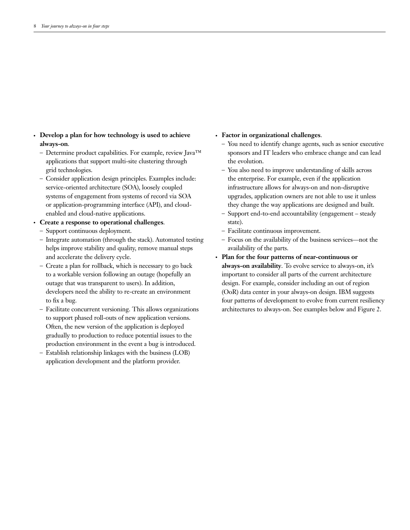- Develop a plan for how technology is used to achieve **always-on**.
	- Determine product capabilities. For example, review Java™ applications that support multi-site clustering through grid technologies.
	- Consider application design principles. Examples include: service-oriented architecture (SOA), loosely coupled systems of engagement from systems of record via SOA or application-programming interface (API), and cloudenabled and cloud-native applications.
- Create a response to operational challenges.
	- Support continuous deployment.
	- Integrate automation (through the stack). Automated testing helps improve stability and quality, remove manual steps and accelerate the delivery cycle.
	- Create a plan for rollback, which is necessary to go back to a workable version following an outage (hopefully an outage that was transparent to users). In addition, developers need the ability to re-create an environment to fix a bug.
	- Facilitate concurrent versioning. This allows organizations to support phased roll-outs of new application versions. Often, the new version of the application is deployed gradually to production to reduce potential issues to the production environment in the event a bug is introduced.
	- Establish relationship linkages with the business (LOB) application development and the platform provider.

#### ●● **Factor in organizational challenges**.

- You need to identify change agents, such as senior executive sponsors and IT leaders who embrace change and can lead the evolution.
- You also need to improve understanding of skills across the enterprise. For example, even if the application infrastructure allows for always-on and non-disruptive upgrades, application owners are not able to use it unless they change the way applications are designed and built.
- Support end-to-end accountability (engagement steady state).
- Facilitate continuous improvement.
- Focus on the availability of the business services—not the availability of the parts.
- Plan for the four patterns of near-continuous or **always-on availability**. To evolve service to always-on, it's important to consider all parts of the current architecture design. For example, consider including an out of region (OoR) data center in your always-on design. IBM suggests four patterns of development to evolve from current resiliency architectures to always-on. See examples below and Figure 2.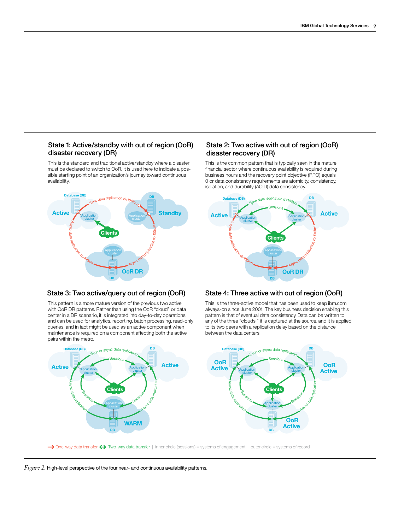### State 1: Active/standby with out of region (OoR) disaster recovery (DR)

This is the standard and traditional active/standby where a disaster must be declared to switch to OoR. It is used here to indicate a possible starting point of an organization's journey toward continuous availability.



### State 3: Two active/query out of region (OoR) State 4: Three active with out of region (OoR)

This pattern is a more mature version of the previous two active with OoR DR patterns. Rather than using the OoR "cloud" or data center in a DR scenario, it is integrated into day-to-day operations and can be used for analytics, reporting, batch processing, read-only queries, and in fact might be used as an active component when maintenance is required on a component affecting both the active pairs within the metro.



This is the common pattern that is typically seen in the mature financial sector where continuous availability is required during business hours and the recovery point objective (RPO) equals 0 or data consistency requirements are atomicity, consistency, isolation, and durability (ACID) data consistency.



This is the three-active model that has been used to keep ibm.com always-on since June 2001. The key business decision enabling this pattern is that of eventual data consistency. Data can be written to any of the three "clouds," it is captured at the source, and it is applied to its two peers with a replication delay based on the distance between the data centers.



*Figure 2.* High-level perspective of the four near- and continuous availability patterns.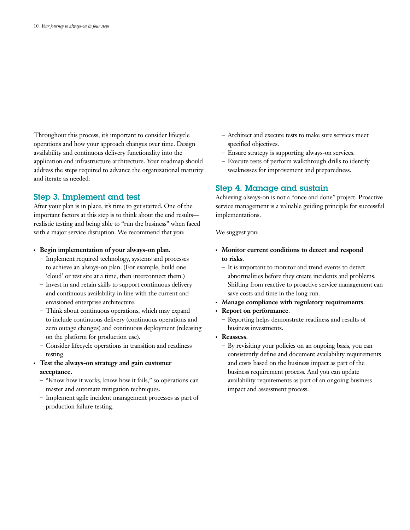Throughout this process, it's important to consider lifecycle operations and how your approach changes over time. Design availability and continuous delivery functionality into the application and infrastructure architecture. Your roadmap should address the steps required to advance the organizational maturity and iterate as needed.

# Step 3. Implement and test

After your plan is in place, it's time to get started. One of the important factors at this step is to think about the end results realistic testing and being able to "run the business" when faced with a major service disruption. We recommend that you:

- Begin implementation of your always-on plan.
	- Implement required technology, systems and processes to achieve an always-on plan. (For example, build one 'cloud' or test site at a time, then interconnect them.)
	- Invest in and retain skills to support continuous delivery and continuous availability in line with the current and envisioned enterprise architecture.
	- Think about continuous operations, which may expand to include continuous delivery (continuous operations and zero outage changes) and continuous deployment (releasing on the platform for production use).
	- Consider lifecycle operations in transition and readiness testing.
- ●● **Test the always-on strategy and gain customer acceptance.**
	- "Know how it works, know how it fails," so operations can master and automate mitigation techniques.
	- Implement agile incident management processes as part of production failure testing.
- Architect and execute tests to make sure services meet specified objectives.
- Ensure strategy is supporting always-on services.
- Execute tests of perform walkthrough drills to identify weaknesses for improvement and preparedness.

# Step 4. Manage and sustain

Achieving always-on is not a "once and done" project. Proactive service management is a valuable guiding principle for successful implementations.

We suggest you:

- Monitor current conditions to detect and respond **to risks**.
	- It is important to monitor and trend events to detect abnormalities before they create incidents and problems. Shifting from reactive to proactive service management can save costs and time in the long run.
- Manage compliance with regulatory requirements.
- Report on performance.
	- Reporting helps demonstrate readiness and results of business investments.
- **Reassess.** 
	- By revisiting your policies on an ongoing basis, you can consistently define and document availability requirements and costs based on the business impact as part of the business requirement process. And you can update availability requirements as part of an ongoing business impact and assessment process.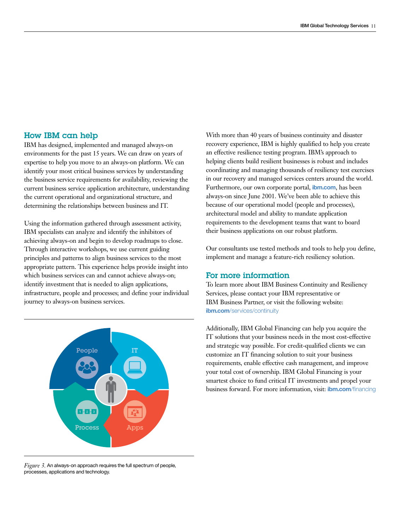## How IBM can help

IBM has designed, implemented and managed always-on environments for the past 15 years. We can draw on years of expertise to help you move to an always-on platform. We can identify your most critical business services by understanding the business service requirements for availability, reviewing the current business service application architecture, understanding the current operational and organizational structure, and determining the relationships between business and IT.

Using the information gathered through assessment activity, IBM specialists can analyze and identify the inhibitors of achieving always-on and begin to develop roadmaps to close. Through interactive workshops, we use current guiding principles and patterns to align business services to the most appropriate pattern. This experience helps provide insight into which business services can and cannot achieve always-on; identify investment that is needed to align applications, infrastructure, people and processes; and define your individual journey to always-on business services.



*Figure 3.* An always-on approach requires the full spectrum of people, processes, applications and technology.

With more than 40 years of business continuity and disaster recovery experience, IBM is highly qualified to help you create an effective resilience testing program. IBM's approach to helping clients build resilient businesses is robust and includes coordinating and managing thousands of resiliency test exercises in our recovery and managed services centers around the world. Furthermore, our own corporate portal, **ibm.com**, has been always-on since June 2001. We've been able to achieve this because of our operational model (people and processes), architectural model and ability to mandate application requirements to the development teams that want to board their business applications on our robust platform.

Our consultants use tested methods and tools to help you define, implement and manage a feature-rich resiliency solution.

# For more information

To learn more about IBM Business Continuity and Resiliency Services, please contact your IBM representative or IBM Business Partner, or visit the following website: **ibm.com**[/services/continuity](http://www.ibm.com/services/continuity)

Additionally, IBM Global Financing can help you acquire the IT solutions that your business needs in the most cost-effective and strategic way possible. For credit-qualified clients we can customize an IT financing solution to suit your business requirements, enable effective cash management, and improve your total cost of ownership. IBM Global Financing is your smartest choice to fund critical IT investments and propel your business forward. For more information, visit: **ibm.com**[/financing](http://www.ibm.com/financing)